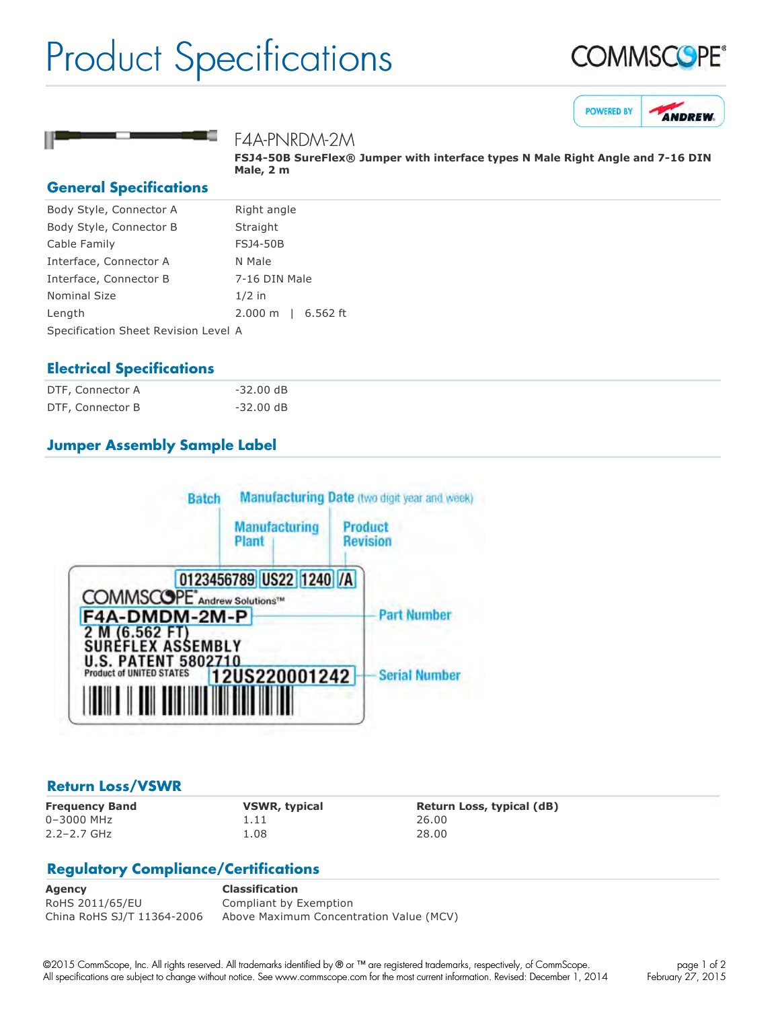## Product Specifications







#### F4A-PNRDM-2M

**FSJ4-50B SureFlex® Jumper with interface types N Male Right Angle and 7-16 DIN Male, 2 m**

#### **General Specifications**

| Right angle                          |  |  |
|--------------------------------------|--|--|
| Straight                             |  |  |
| <b>FSJ4-50B</b>                      |  |  |
| N Male                               |  |  |
| 7-16 DIN Male                        |  |  |
| $1/2$ in                             |  |  |
| 6.562 ft<br>$2.000 \; \mathrm{m}$    |  |  |
| Specification Sheet Revision Level A |  |  |
|                                      |  |  |

#### **Electrical Specifications**

| DTF, Connector A | -32.00 dB           |
|------------------|---------------------|
| DTF, Connector B | $-32.00 \text{ dB}$ |

### **Jumper Assembly Sample Label**



#### **Return Loss/VSWR**

0–3000 MHz 1.11 26.00 2.2–2.7 GHz 1.08 28.00

**Frequency Band VSWR, typical Return Loss, typical (dB)**

### **Regulatory Compliance/Certifications**

**Agency Classification** RoHS 2011/65/EU Compliant by Exemption China RoHS SJ/T 11364-2006 Above Maximum Concentration Value (MCV)

©2015 CommScope, Inc. All rights reserved. All trademarks identified by ® or ™ are registered trademarks, respectively, of CommScope. All specifications are subject to change without notice. See www.commscope.com for the most current information. Revised: December 1, 2014